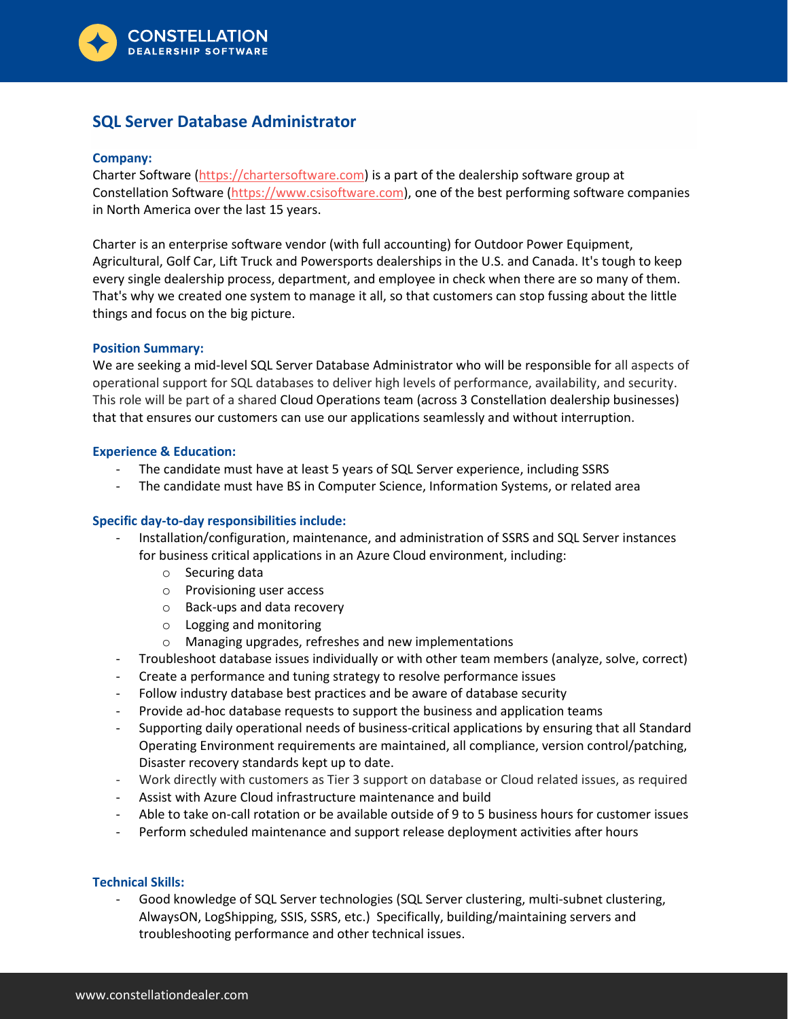

# **SQL Server Database Administrator**

### **Company:**

Charter Software [\(https://chartersoftware.com\)](https://chartersoftware.com/) is a part of the dealership software group at Constellation Software [\(https://www.csisoftware.com\)](https://www.csisoftware.com/), one of the best performing software companies in North America over the last 15 years.

Charter is an enterprise software vendor (with full accounting) for Outdoor Power Equipment, Agricultural, Golf Car, Lift Truck and Powersports dealerships in the U.S. and Canada. It's tough to keep every single dealership process, department, and employee in check when there are so many of them. That's why we created one system to manage it all, so that customers can stop fussing about the little things and focus on the big picture.

#### **Position Summary:**

We are seeking a mid-level SQL Server Database Administrator who will be responsible for all aspects of operational support for SQL databases to deliver high levels of performance, availability, and security. This role will be part of a shared Cloud Operations team (across 3 Constellation dealership businesses) that that ensures our customers can use our applications seamlessly and without interruption.

#### **Experience & Education:**

- The candidate must have at least 5 years of SQL Server experience, including SSRS
- The candidate must have BS in Computer Science, Information Systems, or related area

## **Specific day-to-day responsibilities include:**

- Installation/configuration, maintenance, and administration of SSRS and SQL Server instances for business critical applications in an Azure Cloud environment, including:
	- o Securing data
	- o Provisioning user access
	- o Back-ups and data recovery
	- o Logging and monitoring
	- o Managing upgrades, refreshes and new implementations
- Troubleshoot database issues individually or with other team members (analyze, solve, correct)
- Create a performance and tuning strategy to resolve performance issues
- Follow industry database best practices and be aware of database security
- Provide ad-hoc database requests to support the business and application teams
- Supporting daily operational needs of business-critical applications by ensuring that all Standard Operating Environment requirements are maintained, all compliance, version control/patching, Disaster recovery standards kept up to date.
- Work directly with customers as Tier 3 support on database or Cloud related issues, as required
- Assist with Azure Cloud infrastructure maintenance and build
- Able to take on-call rotation or be available outside of 9 to 5 business hours for customer issues
- Perform scheduled maintenance and support release deployment activities after hours

## **Technical Skills:**

Good knowledge of SQL Server technologies (SQL Server clustering, multi-subnet clustering, AlwaysON, LogShipping, SSIS, SSRS, etc.) Specifically, building/maintaining servers and troubleshooting performance and other technical issues.